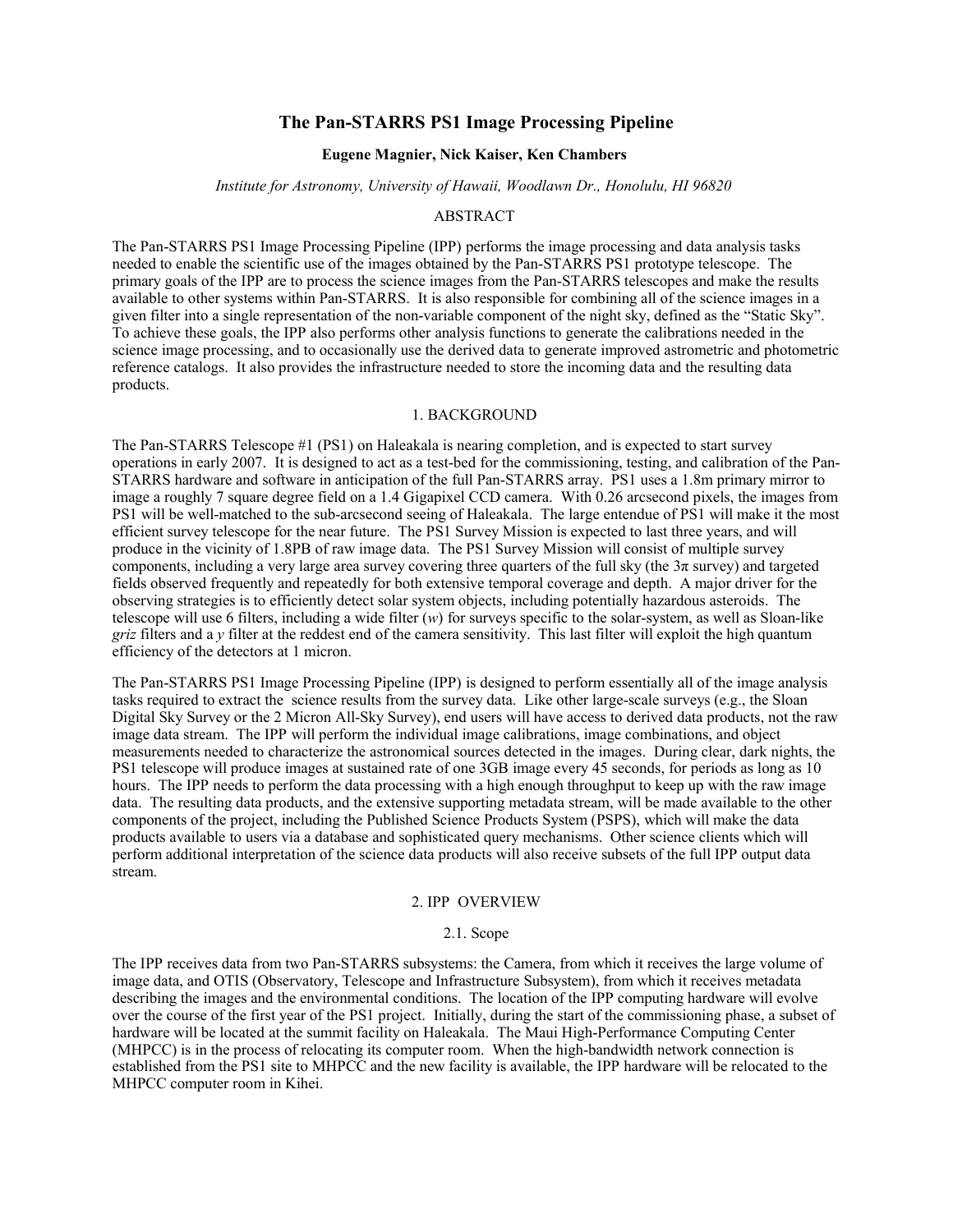# **The Pan-STARRS PS1 Image Processing Pipeline**

### **Eugene Magnier, Nick Kaiser, Ken Chambers**

#### *Institute for Astronomy, University of Hawaii, Woodlawn Dr., Honolulu, HI 96820*

#### ABSTRACT

The Pan-STARRS PS1 Image Processing Pipeline (IPP) performs the image processing and data analysis tasks needed to enable the scientific use of the images obtained by the Pan-STARRS PS1 prototype telescope. The primary goals of the IPP are to process the science images from the Pan-STARRS telescopes and make the results available to other systems within Pan-STARRS. It is also responsible for combining all of the science images in a given filter into a single representation of the non-variable component of the night sky, defined as the "Static Sky". To achieve these goals, the IPP also performs other analysis functions to generate the calibrations needed in the science image processing, and to occasionally use the derived data to generate improved astrometric and photometric reference catalogs. It also provides the infrastructure needed to store the incoming data and the resulting data products.

#### 1. BACKGROUND

The Pan-STARRS Telescope #1 (PS1) on Haleakala is nearing completion, and is expected to start survey operations in early 2007. It is designed to act as a test-bed for the commissioning, testing, and calibration of the Pan-STARRS hardware and software in anticipation of the full Pan-STARRS array. PS1 uses a 1.8m primary mirror to image a roughly 7 square degree field on a 1.4 Gigapixel CCD camera. With 0.26 arcsecond pixels, the images from PS1 will be well-matched to the sub-arcsecond seeing of Haleakala. The large entendue of PS1 will make it the most efficient survey telescope for the near future. The PS1 Survey Mission is expected to last three years, and will produce in the vicinity of 1.8PB of raw image data. The PS1 Survey Mission will consist of multiple survey components, including a very large area survey covering three quarters of the full sky (the  $3\pi$  survey) and targeted fields observed frequently and repeatedly for both extensive temporal coverage and depth. A major driver for the observing strategies is to efficiently detect solar system objects, including potentially hazardous asteroids. The telescope will use 6 filters, including a wide filter (*w*) for surveys specific to the solar-system, as well as Sloan-like *griz* filters and a *y* filter at the reddest end of the camera sensitivity. This last filter will exploit the high quantum efficiency of the detectors at 1 micron.

The Pan-STARRS PS1 Image Processing Pipeline (IPP) is designed to perform essentially all of the image analysis tasks required to extract the science results from the survey data. Like other large-scale surveys (e.g., the Sloan Digital Sky Survey or the 2 Micron All-Sky Survey), end users will have access to derived data products, not the raw image data stream. The IPP will perform the individual image calibrations, image combinations, and object measurements needed to characterize the astronomical sources detected in the images. During clear, dark nights, the PS1 telescope will produce images at sustained rate of one 3GB image every 45 seconds, for periods as long as 10 hours. The IPP needs to perform the data processing with a high enough throughput to keep up with the raw image data. The resulting data products, and the extensive supporting metadata stream, will be made available to the other components of the project, including the Published Science Products System (PSPS), which will make the data products available to users via a database and sophisticated query mechanisms. Other science clients which will perform additional interpretation of the science data products will also receive subsets of the full IPP output data stream.

### 2. IPP OVERVIEW

# 2.1. Scope

The IPP receives data from two Pan-STARRS subsystems: the Camera, from which it receives the large volume of image data, and OTIS (Observatory, Telescope and Infrastructure Subsystem), from which it receives metadata describing the images and the environmental conditions. The location of the IPP computing hardware will evolve over the course of the first year of the PS1 project. Initially, during the start of the commissioning phase, a subset of hardware will be located at the summit facility on Haleakala. The Maui High-Performance Computing Center (MHPCC) is in the process of relocating its computer room. When the high-bandwidth network connection is established from the PS1 site to MHPCC and the new facility is available, the IPP hardware will be relocated to the MHPCC computer room in Kihei.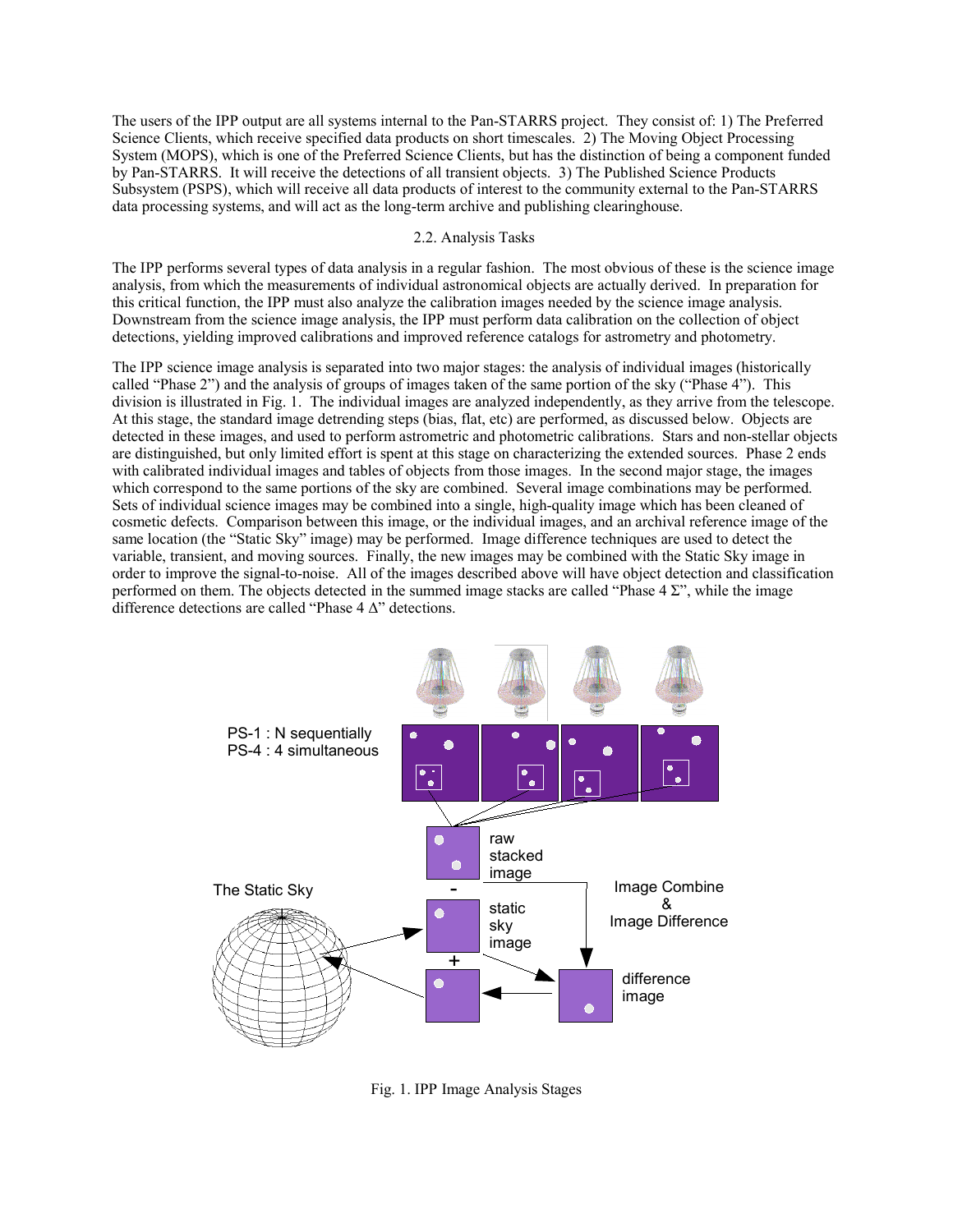The users of the IPP output are all systems internal to the Pan-STARRS project. They consist of: 1) The Preferred Science Clients, which receive specified data products on short timescales. 2) The Moving Object Processing System (MOPS), which is one of the Preferred Science Clients, but has the distinction of being a component funded by Pan-STARRS. It will receive the detections of all transient objects. 3) The Published Science Products Subsystem (PSPS), which will receive all data products of interest to the community external to the Pan-STARRS data processing systems, and will act as the long-term archive and publishing clearinghouse.

## 2.2. Analysis Tasks

The IPP performs several types of data analysis in a regular fashion. The most obvious of these is the science image analysis, from which the measurements of individual astronomical objects are actually derived. In preparation for this critical function, the IPP must also analyze the calibration images needed by the science image analysis. Downstream from the science image analysis, the IPP must perform data calibration on the collection of object detections, yielding improved calibrations and improved reference catalogs for astrometry and photometry.

The IPP science image analysis is separated into two major stages: the analysis of individual images (historically called "Phase 2") and the analysis of groups of images taken of the same portion of the sky ("Phase 4"). This division is illustrated in Fig. 1. The individual images are analyzed independently, as they arrive from the telescope. At this stage, the standard image detrending steps (bias, flat, etc) are performed, as discussed below. Objects are detected in these images, and used to perform astrometric and photometric calibrations. Stars and non-stellar objects are distinguished, but only limited effort is spent at this stage on characterizing the extended sources. Phase 2 ends with calibrated individual images and tables of objects from those images. In the second major stage, the images which correspond to the same portions of the sky are combined. Several image combinations may be performed. Sets of individual science images may be combined into a single, high-quality image which has been cleaned of cosmetic defects. Comparison between this image, or the individual images, and an archival reference image of the same location (the "Static Sky" image) may be performed. Image difference techniques are used to detect the variable, transient, and moving sources. Finally, the new images may be combined with the Static Sky image in order to improve the signal-to-noise. All of the images described above will have object detection and classification performed on them. The objects detected in the summed image stacks are called "Phase  $4 \Sigma$ ", while the image difference detections are called "Phase 4 Δ" detections.



Fig. 1. IPP Image Analysis Stages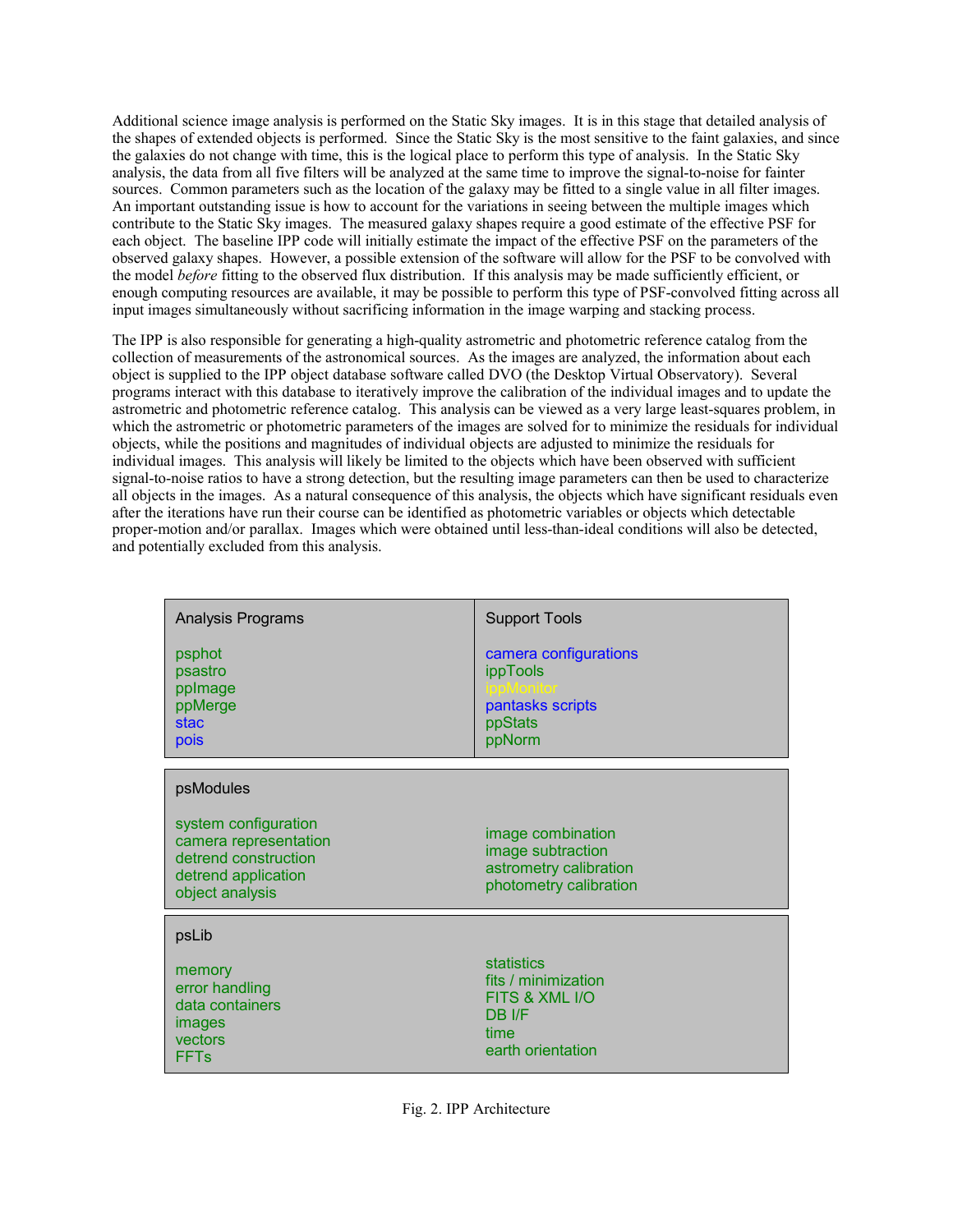Additional science image analysis is performed on the Static Sky images. It is in this stage that detailed analysis of the shapes of extended objects is performed. Since the Static Sky is the most sensitive to the faint galaxies, and since the galaxies do not change with time, this is the logical place to perform this type of analysis. In the Static Sky analysis, the data from all five filters will be analyzed at the same time to improve the signal-to-noise for fainter sources. Common parameters such as the location of the galaxy may be fitted to a single value in all filter images. An important outstanding issue is how to account for the variations in seeing between the multiple images which contribute to the Static Sky images. The measured galaxy shapes require a good estimate of the effective PSF for each object. The baseline IPP code will initially estimate the impact of the effective PSF on the parameters of the observed galaxy shapes. However, a possible extension of the software will allow for the PSF to be convolved with the model *before* fitting to the observed flux distribution. If this analysis may be made sufficiently efficient, or enough computing resources are available, it may be possible to perform this type of PSF-convolved fitting across all input images simultaneously without sacrificing information in the image warping and stacking process.

The IPP is also responsible for generating a high-quality astrometric and photometric reference catalog from the collection of measurements of the astronomical sources. As the images are analyzed, the information about each object is supplied to the IPP object database software called DVO (the Desktop Virtual Observatory). Several programs interact with this database to iteratively improve the calibration of the individual images and to update the astrometric and photometric reference catalog. This analysis can be viewed as a very large least-squares problem, in which the astrometric or photometric parameters of the images are solved for to minimize the residuals for individual objects, while the positions and magnitudes of individual objects are adjusted to minimize the residuals for individual images. This analysis will likely be limited to the objects which have been observed with sufficient signal-to-noise ratios to have a strong detection, but the resulting image parameters can then be used to characterize all objects in the images. As a natural consequence of this analysis, the objects which have significant residuals even after the iterations have run their course can be identified as photometric variables or objects which detectable proper-motion and/or parallax. Images which were obtained until less-than-ideal conditions will also be detected, and potentially excluded from this analysis.

| Analysis Programs<br>psphot<br>psastro<br>pplmage<br>ppMerge<br>stac<br>pois                                                 | <b>Support Tools</b><br>camera configurations<br>ippTools<br>pantasks scripts<br>ppStats<br>ppNorm |
|------------------------------------------------------------------------------------------------------------------------------|----------------------------------------------------------------------------------------------------|
| psModules<br>system configuration<br>camera representation<br>detrend construction<br>detrend application<br>object analysis | image combination<br>image subtraction<br>astrometry calibration<br>photometry calibration         |
| psLib<br>memory<br>error handling<br>data containers<br>images<br>vectors<br>FFTs                                            | statistics<br>fits / minimization<br>FITS & XML I/O<br>DB I/F<br>time<br>earth orientation         |

Fig. 2. IPP Architecture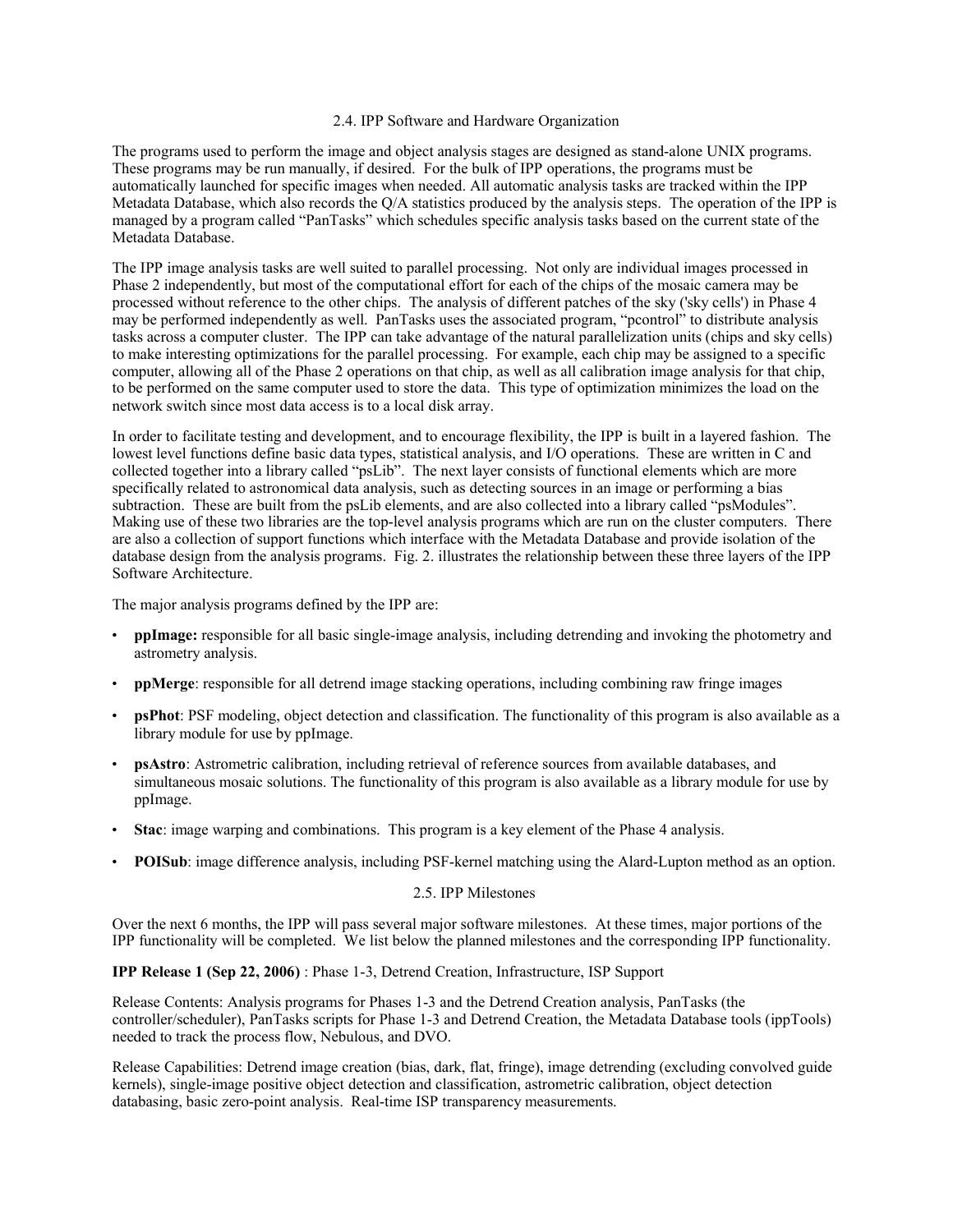### 2.4. IPP Software and Hardware Organization

The programs used to perform the image and object analysis stages are designed as stand-alone UNIX programs. These programs may be run manually, if desired. For the bulk of IPP operations, the programs must be automatically launched for specific images when needed. All automatic analysis tasks are tracked within the IPP Metadata Database, which also records the Q/A statistics produced by the analysis steps. The operation of the IPP is managed by a program called "PanTasks" which schedules specific analysis tasks based on the current state of the Metadata Database.

The IPP image analysis tasks are well suited to parallel processing. Not only are individual images processed in Phase 2 independently, but most of the computational effort for each of the chips of the mosaic camera may be processed without reference to the other chips. The analysis of different patches of the sky ('sky cells') in Phase 4 may be performed independently as well. PanTasks uses the associated program, "pcontrol" to distribute analysis tasks across a computer cluster. The IPP can take advantage of the natural parallelization units (chips and sky cells) to make interesting optimizations for the parallel processing. For example, each chip may be assigned to a specific computer, allowing all of the Phase 2 operations on that chip, as well as all calibration image analysis for that chip, to be performed on the same computer used to store the data. This type of optimization minimizes the load on the network switch since most data access is to a local disk array.

In order to facilitate testing and development, and to encourage flexibility, the IPP is built in a layered fashion. The lowest level functions define basic data types, statistical analysis, and I/O operations. These are written in C and collected together into a library called "psLib". The next layer consists of functional elements which are more specifically related to astronomical data analysis, such as detecting sources in an image or performing a bias subtraction. These are built from the psLib elements, and are also collected into a library called "psModules". Making use of these two libraries are the top-level analysis programs which are run on the cluster computers. There are also a collection of support functions which interface with the Metadata Database and provide isolation of the database design from the analysis programs. Fig. 2. illustrates the relationship between these three layers of the IPP Software Architecture.

The major analysis programs defined by the IPP are:

- **ppImage:** responsible for all basic single-image analysis, including detrending and invoking the photometry and astrometry analysis.
- **ppMerge**: responsible for all detrend image stacking operations, including combining raw fringe images
- **psPhot**: PSF modeling, object detection and classification. The functionality of this program is also available as a library module for use by ppImage.
- **psAstro**: Astrometric calibration, including retrieval of reference sources from available databases, and simultaneous mosaic solutions. The functionality of this program is also available as a library module for use by ppImage.
- **Stac**: image warping and combinations. This program is a key element of the Phase 4 analysis.
- **POISub**: image difference analysis, including PSF-kernel matching using the Alard-Lupton method as an option.

# 2.5. IPP Milestones

Over the next 6 months, the IPP will pass several major software milestones. At these times, major portions of the IPP functionality will be completed. We list below the planned milestones and the corresponding IPP functionality.

## **IPP Release 1 (Sep 22, 2006)** : Phase 1-3, Detrend Creation, Infrastructure, ISP Support

Release Contents: Analysis programs for Phases 1-3 and the Detrend Creation analysis, PanTasks (the controller/scheduler), PanTasks scripts for Phase 1-3 and Detrend Creation, the Metadata Database tools (ippTools) needed to track the process flow, Nebulous, and DVO.

Release Capabilities: Detrend image creation (bias, dark, flat, fringe), image detrending (excluding convolved guide kernels), single-image positive object detection and classification, astrometric calibration, object detection databasing, basic zero-point analysis. Real-time ISP transparency measurements.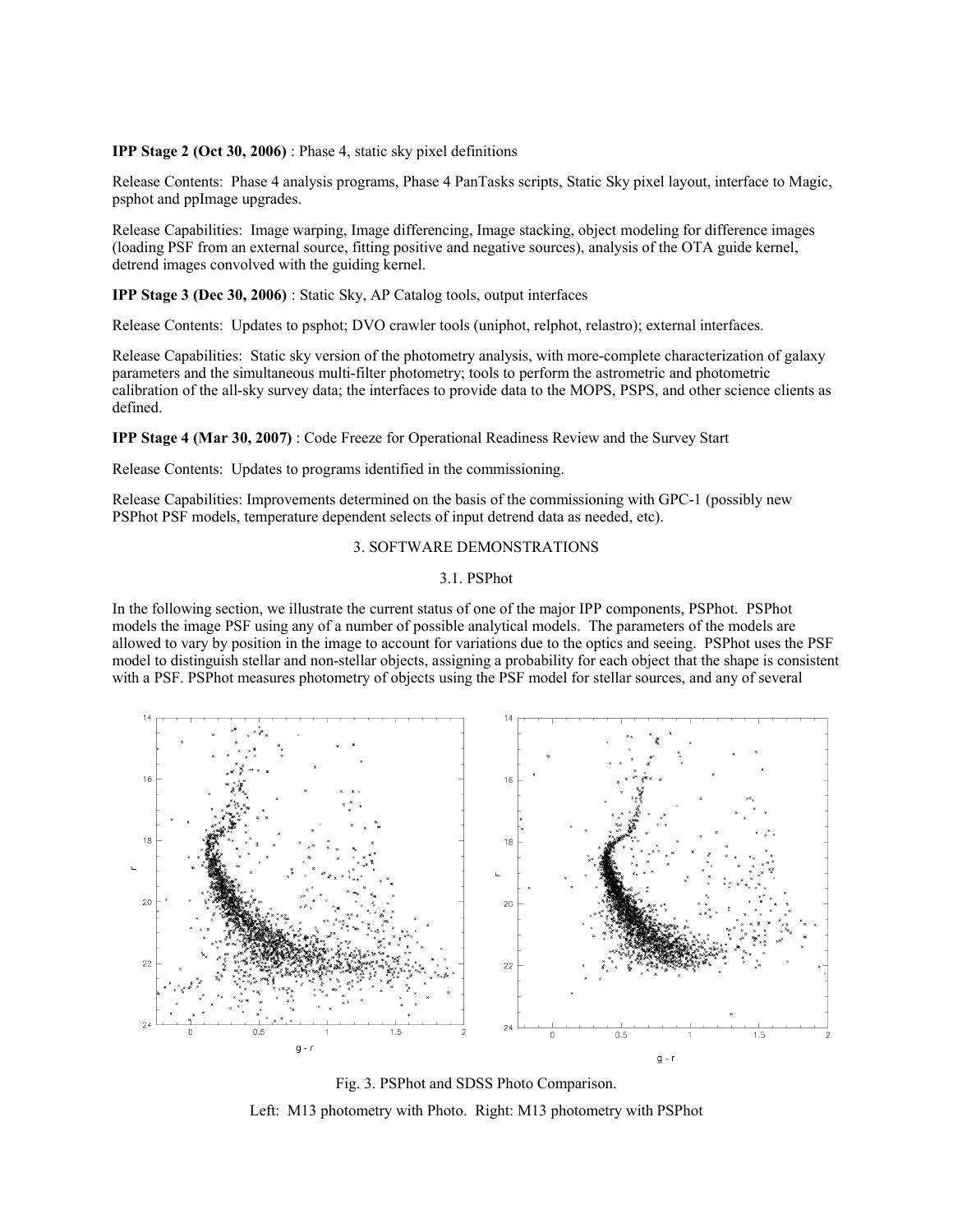### **IPP Stage 2 (Oct 30, 2006)** : Phase 4, static sky pixel definitions

Release Contents: Phase 4 analysis programs, Phase 4 PanTasks scripts, Static Sky pixel layout, interface to Magic, psphot and ppImage upgrades.

Release Capabilities: Image warping, Image differencing, Image stacking, object modeling for difference images (loading PSF from an external source, fitting positive and negative sources), analysis of the OTA guide kernel, detrend images convolved with the guiding kernel.

**IPP Stage 3 (Dec 30, 2006)** : Static Sky, AP Catalog tools, output interfaces

Release Contents: Updates to psphot; DVO crawler tools (uniphot, relphot, relastro); external interfaces.

Release Capabilities: Static sky version of the photometry analysis, with more-complete characterization of galaxy parameters and the simultaneous multi-filter photometry; tools to perform the astrometric and photometric calibration of the all-sky survey data; the interfaces to provide data to the MOPS, PSPS, and other science clients as defined.

**IPP Stage 4 (Mar 30, 2007)** : Code Freeze for Operational Readiness Review and the Survey Start

Release Contents: Updates to programs identified in the commissioning.

Release Capabilities: Improvements determined on the basis of the commissioning with GPC-1 (possibly new PSPhot PSF models, temperature dependent selects of input detrend data as needed, etc).

# 3. SOFTWARE DEMONSTRATIONS

### 3.1. PSPhot

In the following section, we illustrate the current status of one of the major IPP components, PSPhot. PSPhot models the image PSF using any of a number of possible analytical models. The parameters of the models are allowed to vary by position in the image to account for variations due to the optics and seeing. PSPhot uses the PSF model to distinguish stellar and non-stellar objects, assigning a probability for each object that the shape is consistent with a PSF. PSPhot measures photometry of objects using the PSF model for stellar sources, and any of several



Fig. 3. PSPhot and SDSS Photo Comparison. Left: M13 photometry with Photo. Right: M13 photometry with PSPhot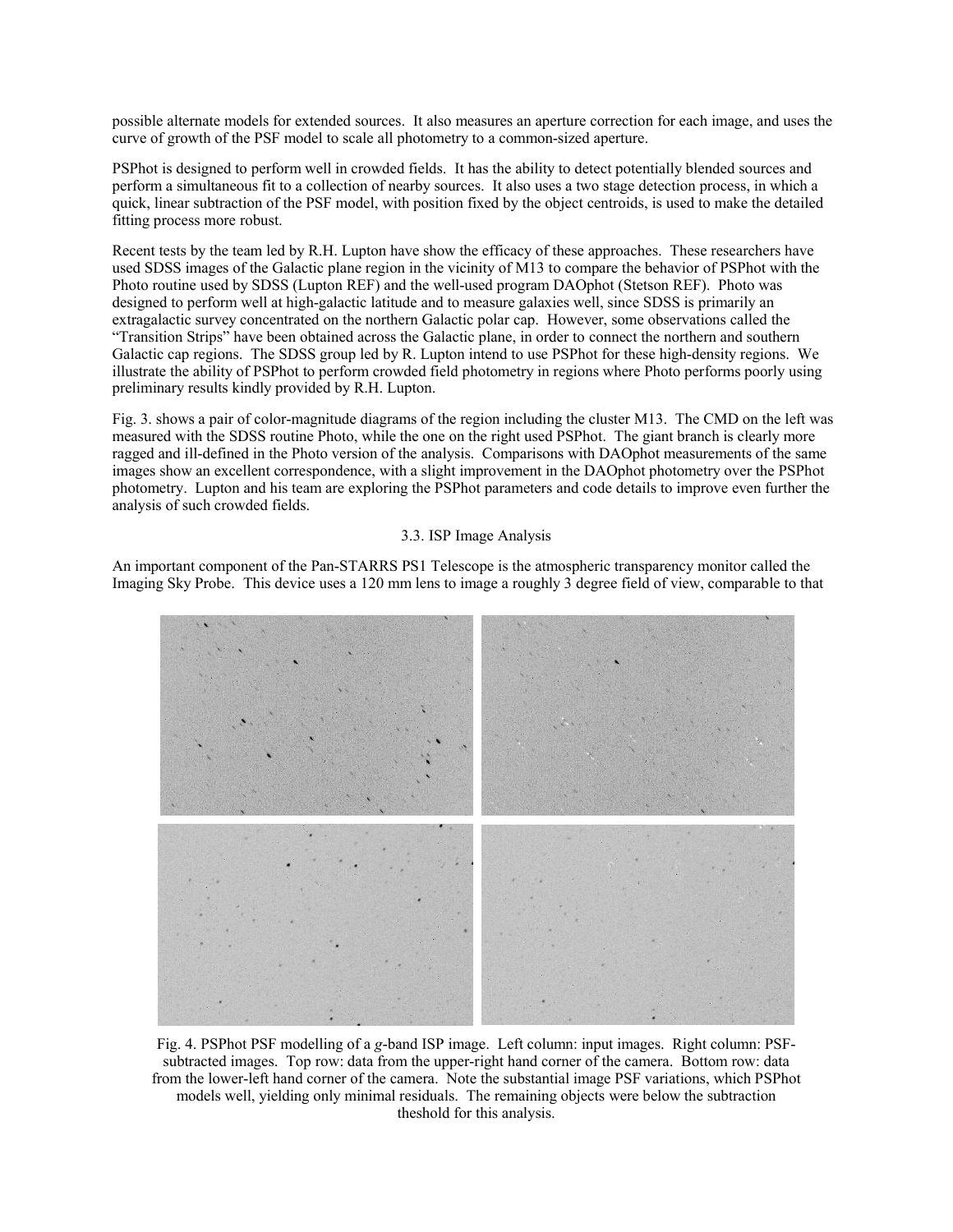possible alternate models for extended sources. It also measures an aperture correction for each image, and uses the curve of growth of the PSF model to scale all photometry to a common-sized aperture.

PSPhot is designed to perform well in crowded fields. It has the ability to detect potentially blended sources and perform a simultaneous fit to a collection of nearby sources. It also uses a two stage detection process, in which a quick, linear subtraction of the PSF model, with position fixed by the object centroids, is used to make the detailed fitting process more robust.

Recent tests by the team led by R.H. Lupton have show the efficacy of these approaches. These researchers have used SDSS images of the Galactic plane region in the vicinity of M13 to compare the behavior of PSPhot with the Photo routine used by SDSS (Lupton REF) and the well-used program DAOphot (Stetson REF). Photo was designed to perform well at high-galactic latitude and to measure galaxies well, since SDSS is primarily an extragalactic survey concentrated on the northern Galactic polar cap. However, some observations called the "Transition Strips" have been obtained across the Galactic plane, in order to connect the northern and southern Galactic cap regions. The SDSS group led by R. Lupton intend to use PSPhot for these high-density regions. We illustrate the ability of PSPhot to perform crowded field photometry in regions where Photo performs poorly using preliminary results kindly provided by R.H. Lupton.

Fig. 3. shows a pair of color-magnitude diagrams of the region including the cluster M13. The CMD on the left was measured with the SDSS routine Photo, while the one on the right used PSPhot. The giant branch is clearly more ragged and ill-defined in the Photo version of the analysis. Comparisons with DAOphot measurements of the same images show an excellent correspondence, with a slight improvement in the DAOphot photometry over the PSPhot photometry. Lupton and his team are exploring the PSPhot parameters and code details to improve even further the analysis of such crowded fields.

### 3.3. ISP Image Analysis

An important component of the Pan-STARRS PS1 Telescope is the atmospheric transparency monitor called the Imaging Sky Probe. This device uses a 120 mm lens to image a roughly 3 degree field of view, comparable to that



Fig. 4. PSPhot PSF modelling of a *g*-band ISP image. Left column: input images. Right column: PSFsubtracted images. Top row: data from the upper-right hand corner of the camera. Bottom row: data from the lower-left hand corner of the camera. Note the substantial image PSF variations, which PSPhot models well, yielding only minimal residuals. The remaining objects were below the subtraction theshold for this analysis.